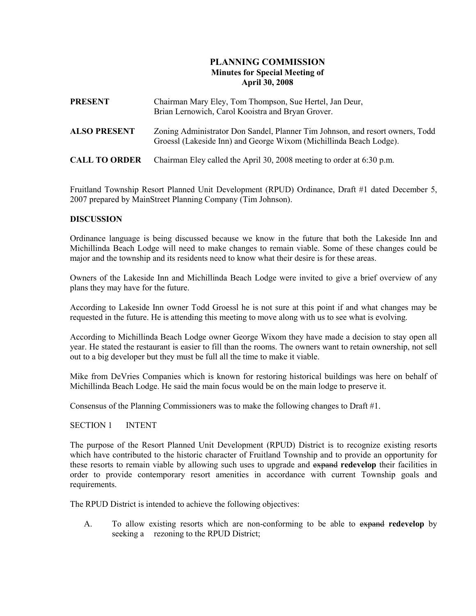# PLANNING COMMISSION Minutes for Special Meeting of April 30, 2008

| <b>PRESENT</b>       | Chairman Mary Eley, Tom Thompson, Sue Hertel, Jan Deur,<br>Brian Lernowich, Carol Kooistra and Bryan Grover.                                        |
|----------------------|-----------------------------------------------------------------------------------------------------------------------------------------------------|
| <b>ALSO PRESENT</b>  | Zoning Administrator Don Sandel, Planner Tim Johnson, and resort owners, Todd<br>Groessl (Lakeside Inn) and George Wixom (Michillinda Beach Lodge). |
| <b>CALL TO ORDER</b> | Chairman Eley called the April 30, 2008 meeting to order at 6:30 p.m.                                                                               |

Fruitland Township Resort Planned Unit Development (RPUD) Ordinance, Draft #1 dated December 5, 2007 prepared by MainStreet Planning Company (Tim Johnson).

## **DISCUSSION**

Ordinance language is being discussed because we know in the future that both the Lakeside Inn and Michillinda Beach Lodge will need to make changes to remain viable. Some of these changes could be major and the township and its residents need to know what their desire is for these areas.

Owners of the Lakeside Inn and Michillinda Beach Lodge were invited to give a brief overview of any plans they may have for the future.

According to Lakeside Inn owner Todd Groessl he is not sure at this point if and what changes may be requested in the future. He is attending this meeting to move along with us to see what is evolving.

According to Michillinda Beach Lodge owner George Wixom they have made a decision to stay open all year. He stated the restaurant is easier to fill than the rooms. The owners want to retain ownership, not sell out to a big developer but they must be full all the time to make it viable.

Mike from DeVries Companies which is known for restoring historical buildings was here on behalf of Michillinda Beach Lodge. He said the main focus would be on the main lodge to preserve it.

Consensus of the Planning Commissioners was to make the following changes to Draft #1.

#### SECTION 1 INTENT

The purpose of the Resort Planned Unit Development (RPUD) District is to recognize existing resorts which have contributed to the historic character of Fruitland Township and to provide an opportunity for these resorts to remain viable by allowing such uses to upgrade and expand redevelop their facilities in order to provide contemporary resort amenities in accordance with current Township goals and requirements.

The RPUD District is intended to achieve the following objectives:

A. To allow existing resorts which are non-conforming to be able to expand redevelop by seeking a rezoning to the RPUD District;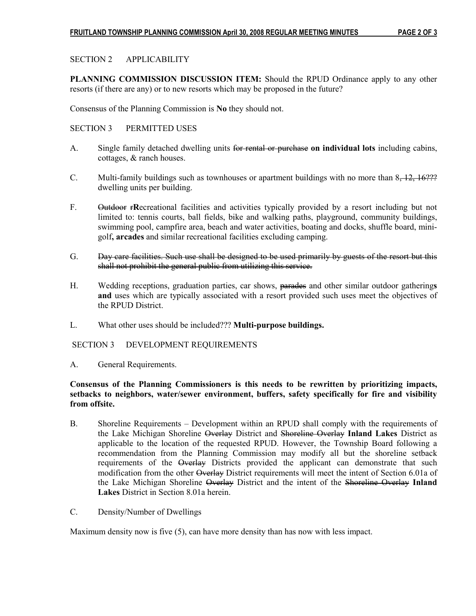# SECTION 2 APPLICABILITY

PLANNING COMMISSION DISCUSSION ITEM: Should the RPUD Ordinance apply to any other resorts (if there are any) or to new resorts which may be proposed in the future?

Consensus of the Planning Commission is No they should not.

## SECTION 3 PERMITTED USES

- A. Single family detached dwelling units for rental or purchase on individual lots including cabins, cottages, & ranch houses.
- C. Multi-family buildings such as townhouses or apartment buildings with no more than  $8-12$ ,  $16.22$ ? dwelling units per building.
- F. Outdoor rRecreational facilities and activities typically provided by a resort including but not limited to: tennis courts, ball fields, bike and walking paths, playground, community buildings, swimming pool, campfire area, beach and water activities, boating and docks, shuffle board, mini golf, arcades and similar recreational facilities excluding camping.
- G. Day care facilities. Such use shall be designed to be used primarily by guests of the resort but this shall not prohibit the general public from utilizing this service.
- H. Wedding receptions, graduation parties, car shows, parades and other similar outdoor gatherings and uses which are typically associated with a resort provided such uses meet the objectives of the RPUD District.
- L. What other uses should be included??? Multi-purpose buildings.

## SECTION 3 DEVELOPMENT REQUIREMENTS

A. General Requirements.

## Consensus of the Planning Commissioners is this needs to be rewritten by prioritizing impacts, setbacks to neighbors, water/sewer environment, buffers, safety specifically for fire and visibility from offsite.

- B. Shoreline Requirements Development within an RPUD shall comply with the requirements of the Lake Michigan Shoreline Overlay District and Shoreline Overlay Inland Lakes District as applicable to the location of the requested RPUD. However, the Township Board following a recommendation from the Planning Commission may modify all but the shoreline setback requirements of the Overlay Districts provided the applicant can demonstrate that such modification from the other Overlay District requirements will meet the intent of Section 6.01a of the Lake Michigan Shoreline Overlay District and the intent of the Shoreline Overlay Inland Lakes District in Section 8.01a herein.
- C. Density/Number of Dwellings

Maximum density now is five (5), can have more density than has now with less impact.